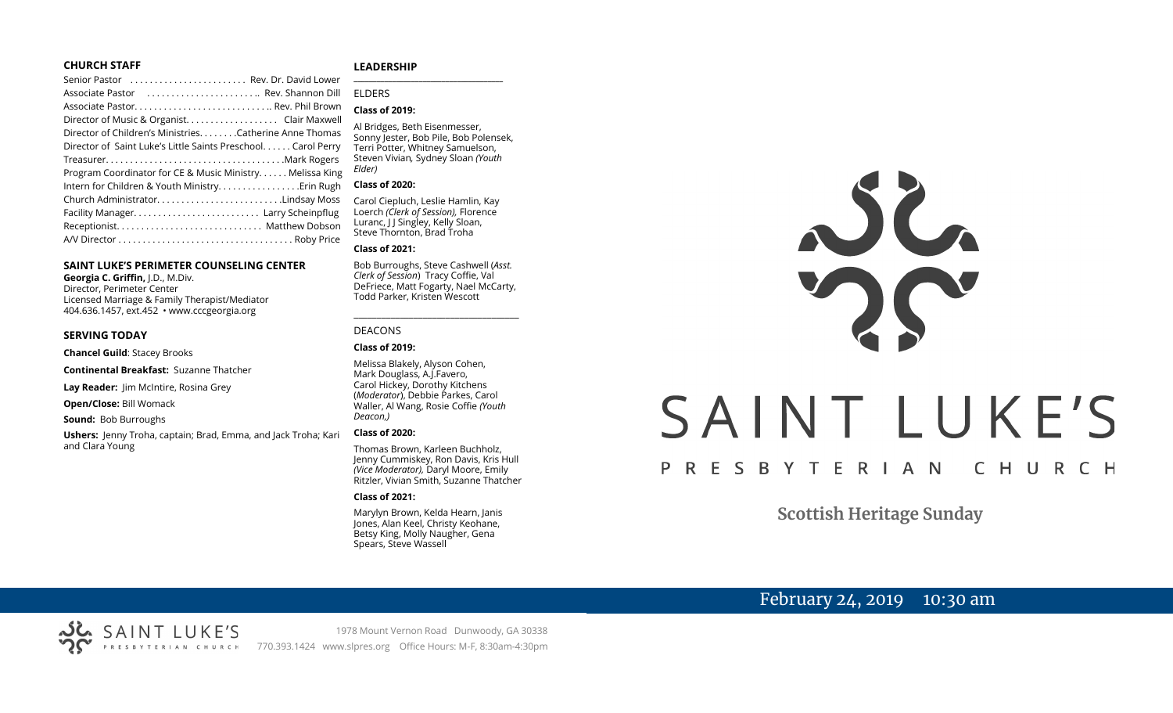#### **CHURCH STAFF**

| Senior Pastor  Rev. Dr. David Lower                          |
|--------------------------------------------------------------|
| Associate Pastor  Rev. Shannon Dill                          |
|                                                              |
| Director of Music & Organist. Clair Maxwell                  |
| Director of Children's Ministries. Catherine Anne Thomas     |
| Director of Saint Luke's Little Saints Preschool Carol Perry |
|                                                              |
| Program Coordinator for CE & Music Ministry Melissa King     |
| Intern for Children & Youth Ministry. Erin Rugh              |
| Church AdministratorLindsay Moss                             |
|                                                              |
|                                                              |
|                                                              |
|                                                              |

#### **SAINT LUKE'S PERIMETER COUNSELING CENTER**

**Georgia C. Griffin,** J.D., M.Div. Director, Perimeter Center Licensed Marriage & Family Therapist/Mediator 404.636.1457, ext.452 • www.cccgeorgia.org

#### **SERVING TODAY**

**Chancel Guild**: Stacey Brooks

**Continental Breakfast:** Suzanne Thatcher

**Lay Reader:** Jim McIntire, Rosina Grey

**Open/Close:** Bill Womack

**Sound:** Bob Burroughs

**Ushers:** Jenny Troha, captain; Brad, Emma, and Jack Troha; Kari and Clara Young

#### **LEADERSHIP**

ELDERS

#### **Class of 2019:**

Al Bridges, Beth Eisenmesser, Sonny Jester, Bob Pile, Bob Polensek, Terri Potter, Whitney Samuelson, Steven Vivian*,* Sydney Sloan *(Youth Elder)*

**\_\_\_\_\_\_\_\_\_\_\_\_\_\_\_\_\_\_\_\_\_\_\_\_\_\_\_\_\_\_\_\_\_\_\_\_\_\_\_**

#### **Class of 2020:**

Carol Ciepluch, Leslie Hamlin, Kay Loerch *(Clerk of Session),* Florence Luranc, I J Singley, Kelly Sloan, Steve Thornton, Brad Troha

#### **Class of 2021:**

Bob Burroughs, Steve Cashwell (*Asst. Clerk of Session*) Tracy Coffie, Val DeFriece, Matt Fogarty, Nael McCarty, Todd Parker, Kristen Wescott

\_\_\_\_\_\_\_\_\_\_\_\_\_\_\_\_\_\_\_\_\_\_\_\_\_\_\_\_\_\_\_\_\_\_\_\_

#### DEACONS

#### **Class of 2019:**

Melissa Blakely, Alyson Cohen, Mark Douglass, A.J.Favero, Carol Hickey, Dorothy Kitchens (*Moderator*), Debbie Parkes, Carol Waller, Al Wang, Rosie Coffie *(Youth Deacon,)* 

#### **Class of 2020:**

Thomas Brown, Karleen Buchholz, Jenny Cummiskey, Ron Davis, Kris Hull *(Vice Moderator),* Daryl Moore, Emily Ritzler, Vivian Smith, Suzanne Thatcher

#### **Class of 2021:**

Marylyn Brown, Kelda Hearn, Janis Jones, Alan Keel, Christy Keohane, Betsy King, Molly Naugher, Gena Spears, Steve Wassell



# SAINT LUKE'S

#### P R E S B Y T E R I A N CHURCH

**Scottish Heritage Sunday**

# February 24, 2019 10:30 am

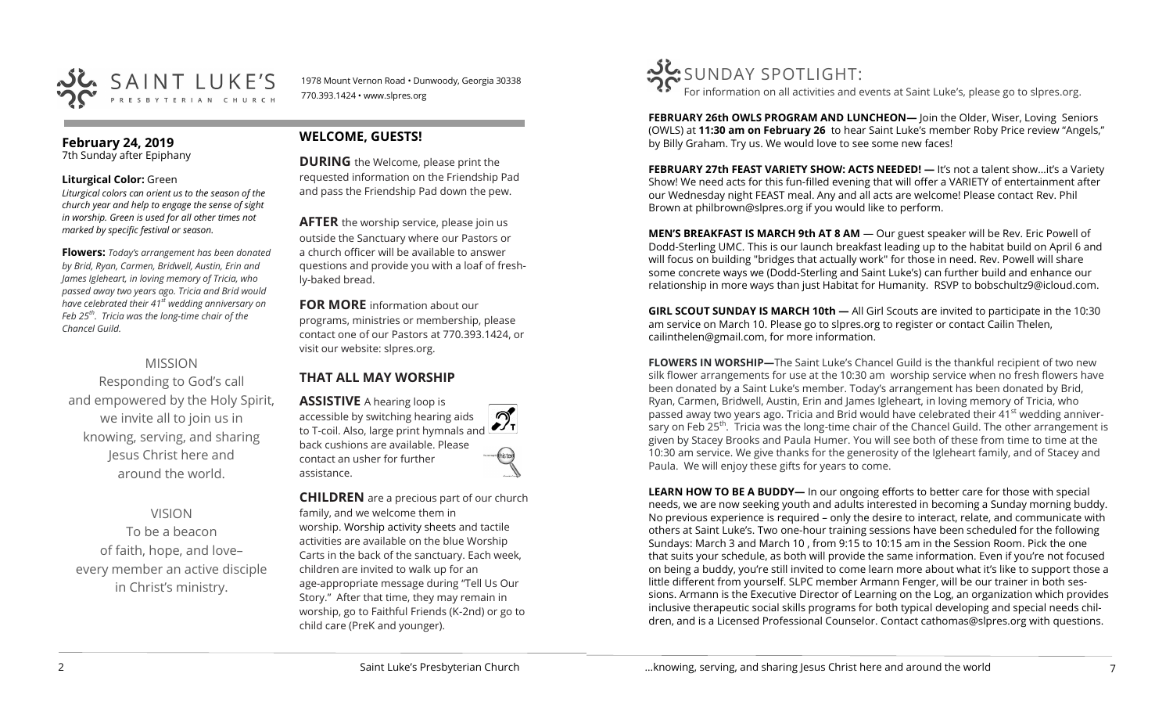

1978 Mount Vernon Road • Dunwoody, Georgia 30338 770.393.1424 • www.slpres.org

### **February 24, 2019**

7th Sunday after Epiphany

#### **Liturgical Color:** Green

*Liturgical colors can orient us to the season of the church year and help to engage the sense of sight in worship. Green is used for all other times not marked by specific festival or season.*

**Flowers:** *Today's arrangement has been donated by Brid, Ryan, Carmen, Bridwell, Austin, Erin and James Igleheart, in loving memory of Tricia, who passed away two years ago. Tricia and Brid would have celebrated their 41st wedding anniversary on Feb 25th . Tricia was the long-time chair of the Chancel Guild.*

# MISSION

Responding to God's call and empowered by the Holy Spirit, we invite all to join us in knowing, serving, and sharing Jesus Christ here and around the world.

#### VISION

To be a beacon of faith, hope, and love– every member an active disciple in Christ's ministry.

# **WELCOME, GUESTS!**

**DURING** the Welcome, please print the requested information on the Friendship Pad and pass the Friendship Pad down the pew.

**AFTER** the worship service, please join us outside the Sanctuary where our Pastors or a church officer will be available to answer questions and provide you with a loaf of freshly-baked bread.

**FOR MORE** information about our programs, ministries or membership, please contact one of our Pastors at 770.393.1424, or visit our website: slpres.org.

# **THAT ALL MAY WORSHIP**

**ASSISTIVE** A hearing loop is accessible by switching hearing aids to T-coil. Also, large print hymnals and back cushions are available. Please contact an usher for further assistance.

**CHILDREN** are a precious part of our church family, and we welcome them in worship. Worship activity sheets and tactile activities are available on the blue Worship Carts in the back of the sanctuary. Each week, children are invited to walk up for an age-appropriate message during "Tell Us Our Story." After that time, they may remain in worship, go to Faithful Friends (K-2nd) or go to child care (PreK and younger).



For information on all activities and events at Saint Luke's, please go to slpres.org.

**FEBRUARY 26th OWLS PROGRAM AND LUNCHEON—** Join the Older, Wiser, Loving Seniors (OWLS) at **11:30 am on February 26** to hear Saint Luke's member Roby Price review "Angels," by Billy Graham. Try us. We would love to see some new faces!

**FEBRUARY 27th FEAST VARIETY SHOW: ACTS NEEDED!** — It's not a talent show...it's a Variety Show! We need acts for this fun-filled evening that will offer a VARIETY of entertainment after our Wednesday night FEAST meal. Any and all acts are welcome! Please contact Rev. Phil Brown at [philbrown@slpres.org](mailto:philbrown@slpres.org) if you would like to perform.

**MEN'S BREAKFAST IS MARCH 9th AT 8 AM** — Our guest speaker will be Rev. Eric Powell of Dodd-Sterling UMC. This is our launch breakfast leading up to the habitat build on April 6 and will focus on building "bridges that actually work" for those in need. Rev. Powell will share some concrete ways we (Dodd-Sterling and Saint Luke's) can further build and enhance our relationship in more ways than just Habitat for Humanity. RSVP to bobschultz9@icloud.com.

**GIRL SCOUT SUNDAY IS MARCH 10th —** All Girl Scouts are invited to participate in the 10:30 am service on March 10. Please go to slpres.org to register or contact Cailin Thelen, cailinthelen@gmail.com, for more information.

**FLOWERS IN WORSHIP—**The Saint Luke's Chancel Guild is the thankful recipient of two new silk flower arrangements for use at the 10:30 am worship service when no fresh flowers have been donated by a Saint Luke's member. Today's arrangement has been donated by Brid, Ryan, Carmen, Bridwell, Austin, Erin and James Igleheart, in loving memory of Tricia, who passed away two years ago. Tricia and Brid would have celebrated their  $41<sup>st</sup>$  wedding anniversary on Feb 25<sup>th</sup>. Tricia was the long-time chair of the Chancel Guild. The other arrangement is given by Stacey Brooks and Paula Humer. You will see both of these from time to time at the 10:30 am service. We give thanks for the generosity of the Igleheart family, and of Stacey and Paula. We will enjoy these gifts for years to come.

**LEARN HOW TO BE A BUDDY—** In our ongoing efforts to better care for those with special needs, we are now seeking youth and adults interested in becoming a Sunday morning buddy. No previous experience is required – only the desire to interact, relate, and communicate with others at Saint Luke's. Two one-hour training sessions have been scheduled for the following Sundays: March 3 and March 10 , from 9:15 to 10:15 am in the Session Room. Pick the one that suits your schedule, as both will provide the same information. Even if you're not focused on being a buddy, you're still invited to come learn more about what it's like to support those a little different from yourself. SLPC member Armann Fenger, will be our trainer in both sessions. Armann is the Executive Director of Learning on the Log, an organization which provides inclusive therapeutic social skills programs for both typical developing and special needs children, and is a Licensed Professional Counselor. Contact [cathomas@slpres.org w](mailto:cathomas@slpres.org)ith questions.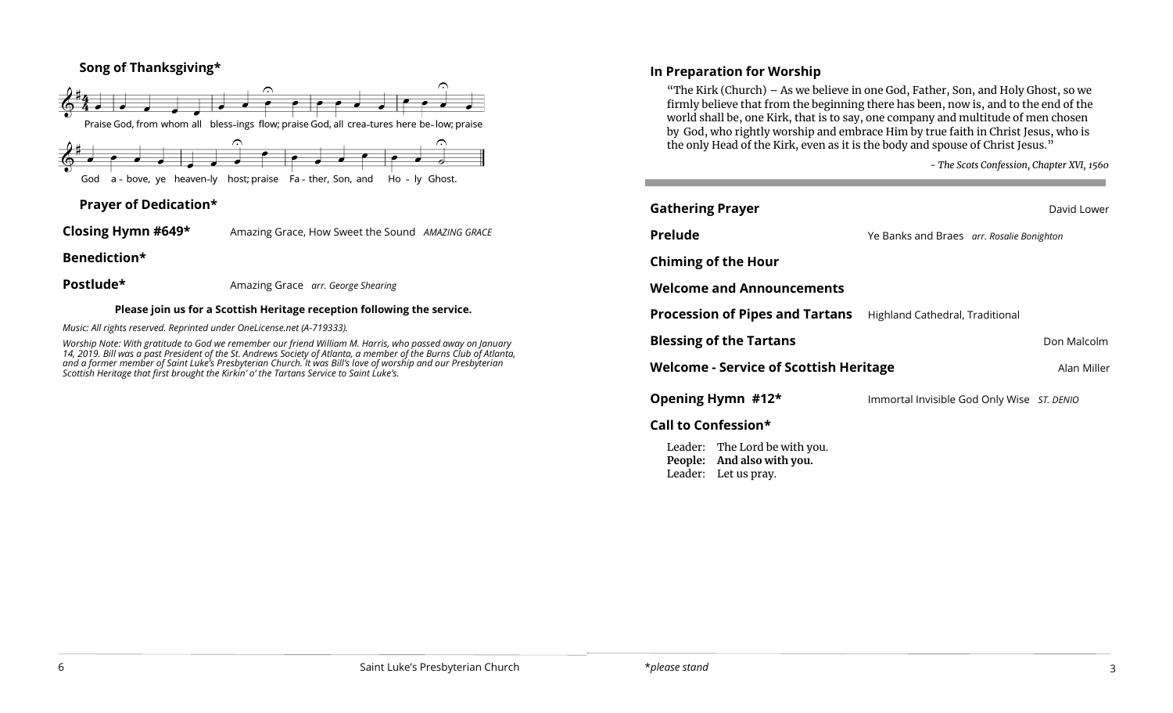# **Song of Thanksgiving\***



# **Prayer of Dedication\***

**Closing Hymn #649\*** Amazing Grace, How Sweet the Sound *AMAZING GRACE*

**Benediction\*** 

**Postlude\*** Amazing Grace *arr. George Shearing* 

#### **Please join us for a Scottish Heritage reception following the service.**

*Music: All rights reserved. Reprinted under OneLicense.net (A-719333).* 

*Worship Note: With gratitude to God we remember our friend William M. Harris, who passed away on January 14, 2019. Bill was a past President of the St. Andrews Society of Atlanta, a member of the Burns Club of Atlanta, and a former member of Saint Luke's Presbyterian Church. It was Bill's love of worship and our Presbyterian Scottish Heritage that first brought the Kirkin' o' the Tartans Service to Saint Luke's.*

# **In Preparation for Worship**

"The Kirk (Church) – As we believe in one God, Father, Son, and Holy Ghost, so we firmly believe that from the beginning there has been, now is, and to the end of the world shall be, one Kirk, that is to say, one company and multitude of men chosen by God, who rightly worship and embrace Him by true faith in Christ Jesus, who is the only Head of the Kirk, even as it is the body and spouse of Christ Jesus."

*- The Scots Confession, Chapter XVI, 1560*

| <b>Gathering Prayer</b>                                                             |                                            | David Lower |  |  |
|-------------------------------------------------------------------------------------|--------------------------------------------|-------------|--|--|
| Prelude                                                                             | Ye Banks and Braes arr. Rosalie Bonighton  |             |  |  |
| <b>Chiming of the Hour</b>                                                          |                                            |             |  |  |
| <b>Welcome and Announcements</b>                                                    |                                            |             |  |  |
| <b>Procession of Pipes and Tartans</b>                                              | Highland Cathedral, Traditional            |             |  |  |
| <b>Blessing of the Tartans</b>                                                      |                                            | Don Malcolm |  |  |
| <b>Welcome - Service of Scottish Heritage</b><br>Alan Miller                        |                                            |             |  |  |
| Opening Hymn #12*                                                                   | Immortal Invisible God Only Wise ST. DENIO |             |  |  |
| Call to Confession*                                                                 |                                            |             |  |  |
| Leader: The Lord be with you.<br>People: And also with you.<br>Leader: Let us pray. |                                            |             |  |  |